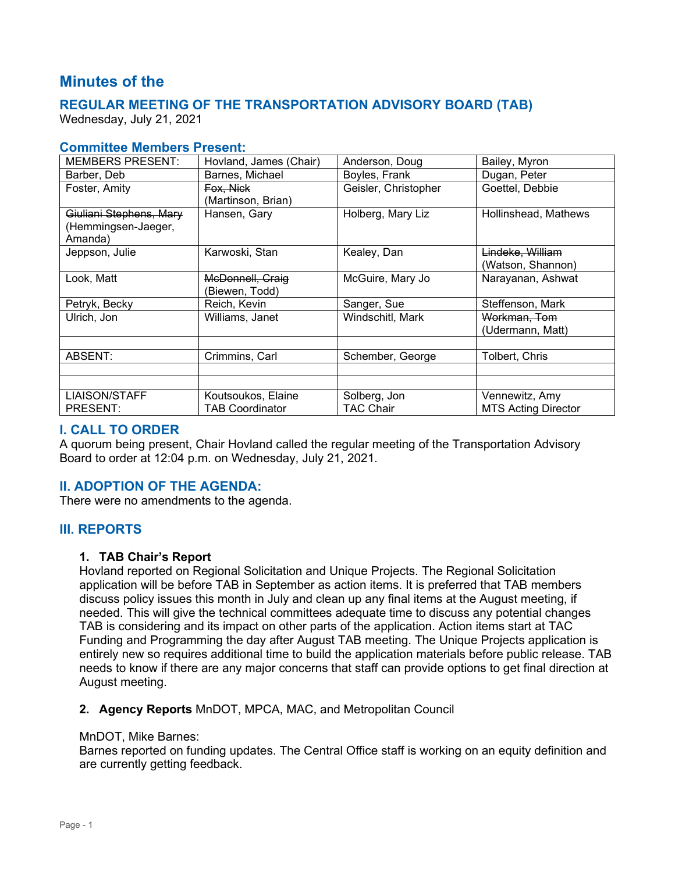# **Minutes of the**

# **REGULAR MEETING OF THE TRANSPORTATION ADVISORY BOARD (TAB)**

Wednesday, July 21, 2021

# **Committee Members Present:**

| <b>MEMBERS PRESENT:</b> | Hovland, James (Chair) | Anderson, Doug       | Bailey, Myron              |
|-------------------------|------------------------|----------------------|----------------------------|
| Barber, Deb             | Barnes, Michael        | Boyles, Frank        | Dugan, Peter               |
| Foster, Amity           | Fox. Nick              | Geisler, Christopher | Goettel, Debbie            |
|                         | (Martinson, Brian)     |                      |                            |
| Giuliani Stephens, Mary | Hansen, Gary           | Holberg, Mary Liz    | Hollinshead, Mathews       |
| (Hemmingsen-Jaeger,     |                        |                      |                            |
| Amanda)                 |                        |                      |                            |
| Jeppson, Julie          | Karwoski, Stan         | Kealey, Dan          | Lindeke, William           |
|                         |                        |                      | (Watson, Shannon)          |
| Look, Matt              | McDonnell, Craig       | McGuire, Mary Jo     | Narayanan, Ashwat          |
|                         | (Biewen, Todd)         |                      |                            |
| Petryk, Becky           | Reich, Kevin           | Sanger, Sue          | Steffenson, Mark           |
| Ulrich, Jon             | Williams, Janet        | Windschitl, Mark     | Workman, Tom               |
|                         |                        |                      | (Udermann, Matt)           |
|                         |                        |                      |                            |
| ABSENT:                 | Crimmins, Carl         | Schember, George     | Tolbert, Chris             |
|                         |                        |                      |                            |
|                         |                        |                      |                            |
| <b>LIAISON/STAFF</b>    | Koutsoukos, Elaine     | Solberg, Jon         | Vennewitz, Amy             |
| PRESENT:                | <b>TAB Coordinator</b> | <b>TAC Chair</b>     | <b>MTS Acting Director</b> |

# **I. CALL TO ORDER**

A quorum being present, Chair Hovland called the regular meeting of the Transportation Advisory Board to order at 12:04 p.m. on Wednesday, July 21, 2021.

# **II. ADOPTION OF THE AGENDA:**

There were no amendments to the agenda.

# **III. REPORTS**

## **1. TAB Chair's Report**

Hovland reported on Regional Solicitation and Unique Projects. The Regional Solicitation application will be before TAB in September as action items. It is preferred that TAB members discuss policy issues this month in July and clean up any final items at the August meeting, if needed. This will give the technical committees adequate time to discuss any potential changes TAB is considering and its impact on other parts of the application. Action items start at TAC Funding and Programming the day after August TAB meeting. The Unique Projects application is entirely new so requires additional time to build the application materials before public release. TAB needs to know if there are any major concerns that staff can provide options to get final direction at August meeting.

## **2. Agency Reports** MnDOT, MPCA, MAC, and Metropolitan Council

#### MnDOT, Mike Barnes:

Barnes reported on funding updates. The Central Office staff is working on an equity definition and are currently getting feedback.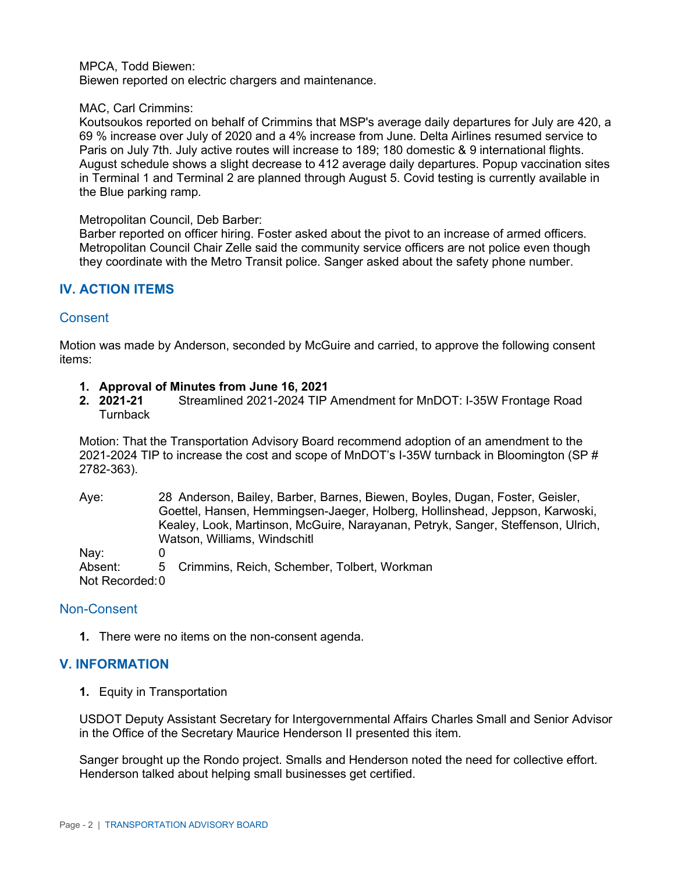#### MPCA, Todd Biewen:

Biewen reported on electric chargers and maintenance.

#### MAC, Carl Crimmins:

Koutsoukos reported on behalf of Crimmins that MSP's average daily departures for July are 420, a 69 % increase over July of 2020 and a 4% increase from June. Delta Airlines resumed service to Paris on July 7th. July active routes will increase to 189; 180 domestic & 9 international flights. August schedule shows a slight decrease to 412 average daily departures. Popup vaccination sites in Terminal 1 and Terminal 2 are planned through August 5. Covid testing is currently available in the Blue parking ramp.

#### Metropolitan Council, Deb Barber:

Barber reported on officer hiring. Foster asked about the pivot to an increase of armed officers. Metropolitan Council Chair Zelle said the community service officers are not police even though they coordinate with the Metro Transit police. Sanger asked about the safety phone number.

# **IV. ACTION ITEMS**

## Consent

Motion was made by Anderson, seconded by McGuire and carried, to approve the following consent items:

- **1. Approval of Minutes from June 16, 2021**
- **2. 2021-21** Streamlined 2021-2024 TIP Amendment for MnDOT: I-35W Frontage Road **Turnback**

Motion: That the Transportation Advisory Board recommend adoption of an amendment to the 2021-2024 TIP to increase the cost and scope of MnDOT's I-35W turnback in Bloomington (SP # 2782-363).

| Aye:            | 28 Anderson, Bailey, Barber, Barnes, Biewen, Boyles, Dugan, Foster, Geisler,     |
|-----------------|----------------------------------------------------------------------------------|
|                 | Goettel, Hansen, Hemmingsen-Jaeger, Holberg, Hollinshead, Jeppson, Karwoski,     |
|                 | Kealey, Look, Martinson, McGuire, Narayanan, Petryk, Sanger, Steffenson, Ulrich, |
|                 | Watson, Williams, Windschitl                                                     |
| Nay:            |                                                                                  |
| Absent:         | 5 Crimmins, Reich, Schember, Tolbert, Workman                                    |
| Not Recorded: 0 |                                                                                  |

## Non-Consent

**1.** There were no items on the non-consent agenda.

## **V. INFORMATION**

**1.** Equity in Transportation

USDOT Deputy Assistant Secretary for Intergovernmental Affairs Charles Small and Senior Advisor in the Office of the Secretary Maurice Henderson II presented this item.

Sanger brought up the Rondo project. Smalls and Henderson noted the need for collective effort. Henderson talked about helping small businesses get certified.